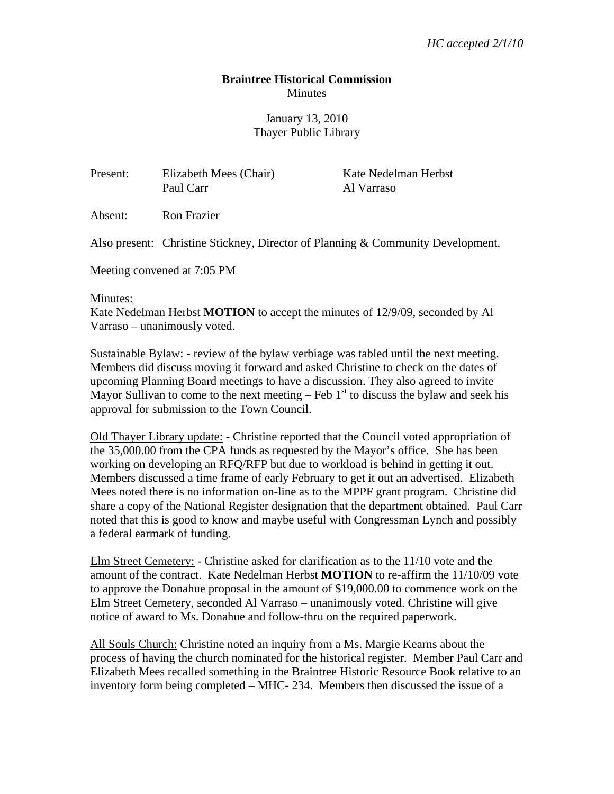## **Braintree Historical Commission Minutes**

## January 13, 2010 Thayer Public Library

| Present: | Elizabeth Mees (Chair) | Kate Nedelman Herbst |
|----------|------------------------|----------------------|
|          | Paul Carr              | Al Varraso           |

Also present: Christine Stickney, Director of Planning & Community Development.

Meeting convened at 7:05 PM

Absent: Ron Frazier

## Minutes:

Kate Nedelman Herbst **MOTION** to accept the minutes of 12/9/09, seconded by Al Varraso – unanimously voted.

Sustainable Bylaw: - review of the bylaw verbiage was tabled until the next meeting. Members did discuss moving it forward and asked Christine to check on the dates of upcoming Planning Board meetings to have a discussion. They also agreed to invite Mayor Sullivan to come to the next meeting – Feb  $1<sup>st</sup>$  to discuss the bylaw and seek his approval for submission to the Town Council.

Old Thayer Library update: - Christine reported that the Council voted appropriation of the 35,000.00 from the CPA funds as requested by the Mayor's office. She has been working on developing an RFQ/RFP but due to workload is behind in getting it out. Members discussed a time frame of early February to get it out an advertised. Elizabeth Mees noted there is no information on-line as to the MPPF grant program. Christine did share a copy of the National Register designation that the department obtained. Paul Carr noted that this is good to know and maybe useful with Congressman Lynch and possibly a federal earmark of funding.

Elm Street Cemetery: - Christine asked for clarification as to the 11/10 vote and the amount of the contract. Kate Nedelman Herbst **MOTION** to re-affirm the 11/10/09 vote to approve the Donahue proposal in the amount of \$19,000.00 to commence work on the Elm Street Cemetery, seconded Al Varraso – unanimously voted. Christine will give notice of award to Ms. Donahue and follow-thru on the required paperwork.

All Souls Church: Christine noted an inquiry from a Ms. Margie Kearns about the process of having the church nominated for the historical register. Member Paul Carr and Elizabeth Mees recalled something in the Braintree Historic Resource Book relative to an inventory form being completed – MHC- 234. Members then discussed the issue of a